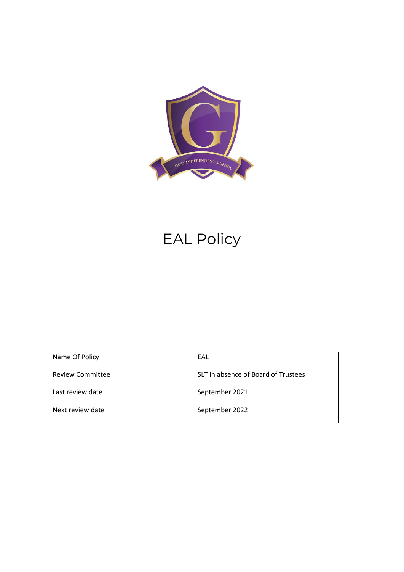

# EAL Policy

| Name Of Policy          | EAL                                 |
|-------------------------|-------------------------------------|
| <b>Review Committee</b> | SLT in absence of Board of Trustees |
| Last review date        | September 2021                      |
| Next review date        | September 2022                      |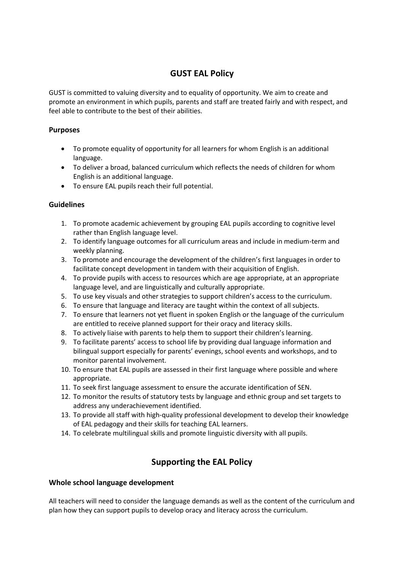# **GUST EAL Policy**

GUST is committed to valuing diversity and to equality of opportunity. We aim to create and promote an environment in which pupils, parents and staff are treated fairly and with respect, and feel able to contribute to the best of their abilities.

# **Purposes**

- To promote equality of opportunity for all learners for whom English is an additional language.
- To deliver a broad, balanced curriculum which reflects the needs of children for whom English is an additional language.
- To ensure EAL pupils reach their full potential.

# **Guidelines**

- 1. To promote academic achievement by grouping EAL pupils according to cognitive level rather than English language level.
- 2. To identify language outcomes for all curriculum areas and include in medium-term and weekly planning.
- 3. To promote and encourage the development of the children's first languages in order to facilitate concept development in tandem with their acquisition of English.
- 4. To provide pupils with access to resources which are age appropriate, at an appropriate language level, and are linguistically and culturally appropriate.
- 5. To use key visuals and other strategies to support children's access to the curriculum.
- 6. To ensure that language and literacy are taught within the context of all subjects.
- 7. To ensure that learners not yet fluent in spoken English or the language of the curriculum are entitled to receive planned support for their oracy and literacy skills.
- 8. To actively liaise with parents to help them to support their children's learning.
- 9. To facilitate parents' access to school life by providing dual language information and bilingual support especially for parents' evenings, school events and workshops, and to monitor parental involvement.
- 10. To ensure that EAL pupils are assessed in their first language where possible and where appropriate.
- 11. To seek first language assessment to ensure the accurate identification of SEN.
- 12. To monitor the results of statutory tests by language and ethnic group and set targets to address any underachievement identified.
- 13. To provide all staff with high-quality professional development to develop their knowledge of EAL pedagogy and their skills for teaching EAL learners.
- 14. To celebrate multilingual skills and promote linguistic diversity with all pupils.

# **Supporting the EAL Policy**

# **Whole school language development**

All teachers will need to consider the language demands as well as the content of the curriculum and plan how they can support pupils to develop oracy and literacy across the curriculum.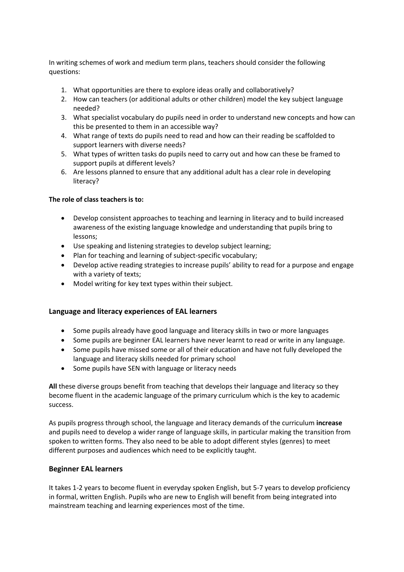In writing schemes of work and medium term plans, teachers should consider the following questions:

- 1. What opportunities are there to explore ideas orally and collaboratively?
- 2. How can teachers (or additional adults or other children) model the key subject language needed?
- 3. What specialist vocabulary do pupils need in order to understand new concepts and how can this be presented to them in an accessible way?
- 4. What range of texts do pupils need to read and how can their reading be scaffolded to support learners with diverse needs?
- 5. What types of written tasks do pupils need to carry out and how can these be framed to support pupils at different levels?
- 6. Are lessons planned to ensure that any additional adult has a clear role in developing literacy?

## **The role of class teachers is to:**

- Develop consistent approaches to teaching and learning in literacy and to build increased awareness of the existing language knowledge and understanding that pupils bring to lessons;
- Use speaking and listening strategies to develop subject learning;
- Plan for teaching and learning of subject-specific vocabulary;
- Develop active reading strategies to increase pupils' ability to read for a purpose and engage with a variety of texts;
- Model writing for key text types within their subject.

#### **Language and literacy experiences of EAL learners**

- Some pupils already have good language and literacy skills in two or more languages
- Some pupils are beginner EAL learners have never learnt to read or write in any language.
- Some pupils have missed some or all of their education and have not fully developed the language and literacy skills needed for primary school
- Some pupils have SEN with language or literacy needs

**All** these diverse groups benefit from teaching that develops their language and literacy so they become fluent in the academic language of the primary curriculum which is the key to academic success.

As pupils progress through school, the language and literacy demands of the curriculum **increase** and pupils need to develop a wider range of language skills, in particular making the transition from spoken to written forms. They also need to be able to adopt different styles (genres) to meet different purposes and audiences which need to be explicitly taught.

#### **Beginner EAL learners**

It takes 1-2 years to become fluent in everyday spoken English, but 5-7 years to develop proficiency in formal, written English. Pupils who are new to English will benefit from being integrated into mainstream teaching and learning experiences most of the time.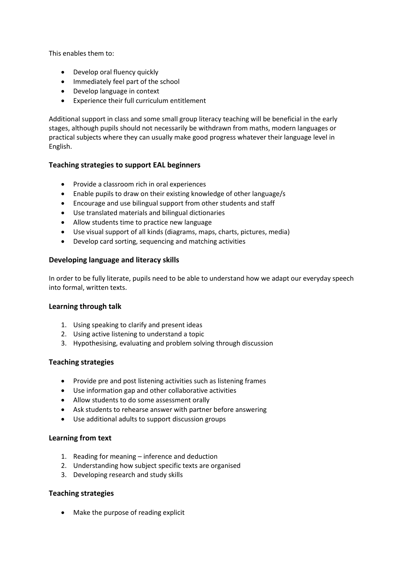This enables them to:

- Develop oral fluency quickly
- Immediately feel part of the school
- Develop language in context
- Experience their full curriculum entitlement

Additional support in class and some small group literacy teaching will be beneficial in the early stages, although pupils should not necessarily be withdrawn from maths, modern languages or practical subjects where they can usually make good progress whatever their language level in English.

# **Teaching strategies to support EAL beginners**

- Provide a classroom rich in oral experiences
- Enable pupils to draw on their existing knowledge of other language/s
- Encourage and use bilingual support from other students and staff
- Use translated materials and bilingual dictionaries
- Allow students time to practice new language
- Use visual support of all kinds (diagrams, maps, charts, pictures, media)
- Develop card sorting, sequencing and matching activities

## **Developing language and literacy skills**

In order to be fully literate, pupils need to be able to understand how we adapt our everyday speech into formal, written texts.

#### **Learning through talk**

- 1. Using speaking to clarify and present ideas
- 2. Using active listening to understand a topic
- 3. Hypothesising, evaluating and problem solving through discussion

# **Teaching strategies**

- Provide pre and post listening activities such as listening frames
- Use information gap and other collaborative activities
- Allow students to do some assessment orally
- Ask students to rehearse answer with partner before answering
- Use additional adults to support discussion groups

#### **Learning from text**

- 1. Reading for meaning inference and deduction
- 2. Understanding how subject specific texts are organised
- 3. Developing research and study skills

# **Teaching strategies**

• Make the purpose of reading explicit